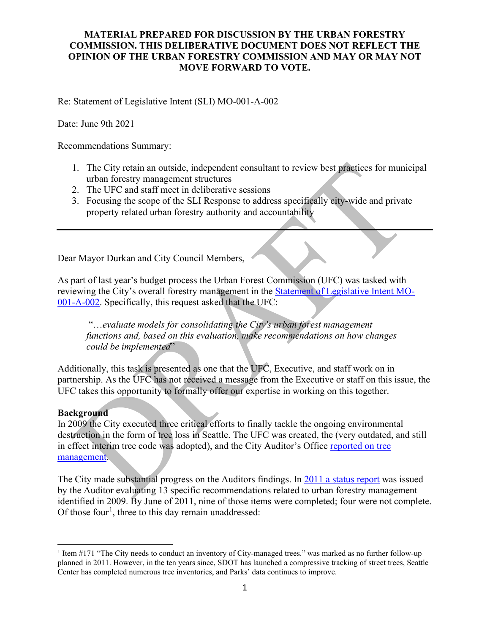## **MATERIAL PREPARED FOR DISCUSSION BY THE URBAN FORESTRY COMMISSION. THIS DELIBERATIVE DOCUMENT DOES NOT REFLECT THE OPINION OF THE URBAN FORESTRY COMMISSION AND MAY OR MAY NOT MOVE FORWARD TO VOTE.**

Re: Statement of Legislative Intent (SLI) MO-001-A-002

Date: June 9th 2021

Recommendations Summary:

- 1. The City retain an outside, independent consultant to review best practices for municipal urban forestry management structures
- 2. The UFC and staff meet in deliberative sessions
- 3. Focusing the scope of the SLI Response to address specifically city-wide and private property related urban forestry authority and accountability

Dear Mayor Durkan and City Council Members,

As part of last year's budget process the Urban Forest Commission (UFC) was tasked with reviewing the City's overall forestry management in the [Statement of Legislative Intent MO-](http://www.seattle.gov/Documents/Departments/UrbanForestryCommission/Resources/SLI-MO-001-A-002UFConsolidationFinal.pdf)[001-A-002.](http://www.seattle.gov/Documents/Departments/UrbanForestryCommission/Resources/SLI-MO-001-A-002UFConsolidationFinal.pdf) Specifically, this request asked that the UFC:

"…*evaluate models for consolidating the City's urban forest management functions and, based on this evaluation, make recommendations on how changes could be implemented*"

Additionally, this task is presented as one that the UFC, Executive, and staff work on in partnership. As the UFC has not received a message from the Executive or staff on this issue, the UFC takes this opportunity to formally offer our expertise in working on this together.

## **Background**

In 2009 the City executed three critical efforts to finally tackle the ongoing environmental destruction in the form of tree loss in Seattle. The UFC was created, the (very outdated, and still in effect interim tree code was adopted), and the City Auditor's Office [reported on tree](http://www.seattle.gov/Documents/Departments/UrbanForestryCommission/Resources/TreeAuditReport20090515.pdf)  [management.](http://www.seattle.gov/Documents/Departments/UrbanForestryCommission/Resources/TreeAuditReport20090515.pdf)

The City made substantial progress on the Auditors findings. In [2011 a status report](http://www.seattle.gov/Documents/Departments/UrbanForestryCommission/Resources/FinalReport2011-09-20.pdf) was issued by the Auditor evaluating 13 specific recommendations related to urban forestry management identified in 2009. By June of 2011, nine of those items were completed; four were not complete. Of those four<sup>[1](#page-0-0)</sup>, three to this day remain unaddressed:

<span id="page-0-0"></span><sup>1</sup> Item #171 "The City needs to conduct an inventory of City-managed trees." was marked as no further follow-up planned in 2011. However, in the ten years since, SDOT has launched a compressive tracking of street trees, Seattle Center has completed numerous tree inventories, and Parks' data continues to improve.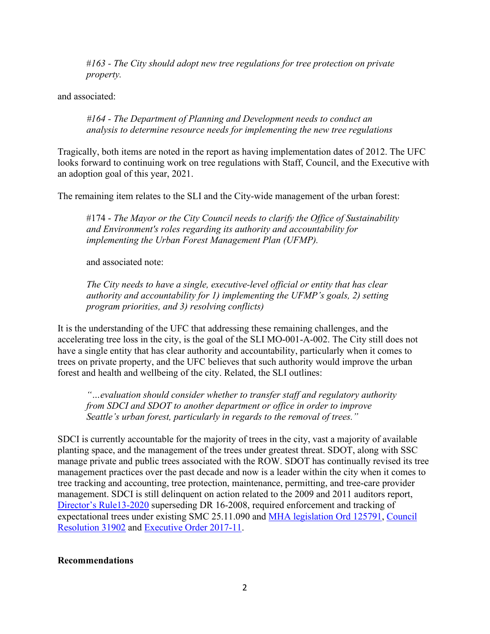#*163 - The City should adopt new tree regulations for tree protection on private property.*

and associated:

*#164 - The Department of Planning and Development needs to conduct an analysis to determine resource needs for implementing the new tree regulations*

Tragically, both items are noted in the report as having implementation dates of 2012. The UFC looks forward to continuing work on tree regulations with Staff, Council, and the Executive with an adoption goal of this year, 2021.

The remaining item relates to the SLI and the City-wide management of the urban forest:

#174 - *The Mayor or the City Council needs to clarify the Office of Sustainability and Environment's roles regarding its authority and accountability for implementing the Urban Forest Management Plan (UFMP).*

and associated note:

*The City needs to have a single, executive-level official or entity that has clear authority and accountability for 1) implementing the UFMP's goals, 2) setting program priorities, and 3) resolving conflicts)*

It is the understanding of the UFC that addressing these remaining challenges, and the accelerating tree loss in the city, is the goal of the SLI MO-001-A-002. The City still does not have a single entity that has clear authority and accountability, particularly when it comes to trees on private property, and the UFC believes that such authority would improve the urban forest and health and wellbeing of the city. Related, the SLI outlines:

*"…evaluation should consider whether to transfer staff and regulatory authority from SDCI and SDOT to another department or office in order to improve Seattle's urban forest, particularly in regards to the removal of trees."*

SDCI is currently accountable for the majority of trees in the city, vast a majority of available planting space, and the management of the trees under greatest threat. SDOT, along with SSC manage private and public trees associated with the ROW. SDOT has continually revised its tree management practices over the past decade and now is a leader within the city when it comes to tree tracking and accounting, tree protection, maintenance, permitting, and tree-care provider management. SDCI is still delinquent on action related to the 2009 and 2011 auditors report, [Director's Rule13-2020](http://www.seattle.gov/Documents/Departments/UrbanForestryCommission/Resources/07.16.2020%20DDR2020-13.pdf) superseding DR 16-2008, required enforcement and tracking of expectational trees under existing SMC 25.11.090 and [MHA legislation Ord 125791,](https://seattle.legistar.com/View.ashx?M=F&ID=7107428&GUID=DF534001-39D2-46BF-9FF8-A1B650A5C041) [Council](http://clerk.seattle.gov/search/resolutions/31902)  [Resolution 31902](http://clerk.seattle.gov/search/resolutions/31902) and [Executive Order 2017-11.](http://www.seattle.gov/Documents/Departments/UrbanForestryCommission/2018/2018docs/TreeExecOrder2017-11FINAL.pdf)

## **Recommendations**